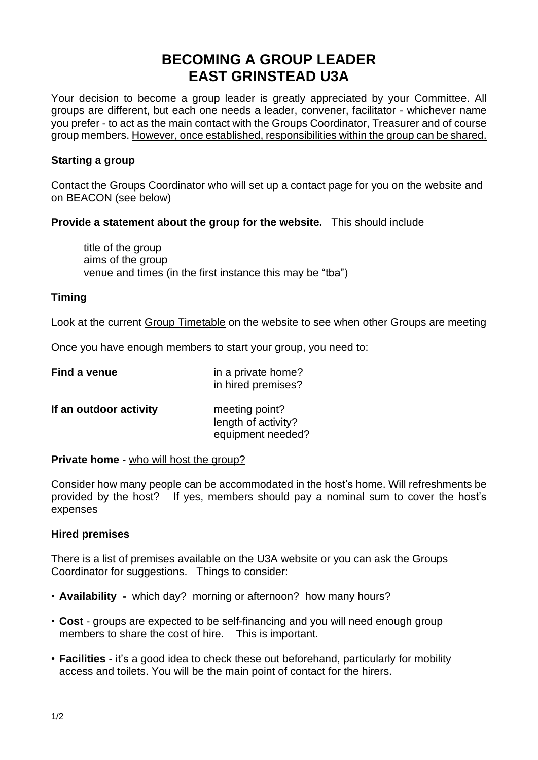# **BECOMING A GROUP LEADER EAST GRINSTEAD U3A**

Your decision to become a group leader is greatly appreciated by your Committee. All groups are different, but each one needs a leader, convener, facilitator - whichever name you prefer - to act as the main contact with the Groups Coordinator, Treasurer and of course group members. However, once established, responsibilities within the group can be shared.

# **Starting a group**

Contact the Groups Coordinator who will set up a contact page for you on the website and on BEACON (see below)

# **Provide a statement about the group for the website.** This should include

title of the group aims of the group venue and times (in the first instance this may be "tba")

# **Timing**

Look at the current Group [Timetable](https://u3asites.org.uk/east-grinstead/groups) on the website to see when other Groups are meeting

Once you have enough members to start your group, you need to:

| Find a venue           | in a private home?<br>in hired premises?                   |
|------------------------|------------------------------------------------------------|
| If an outdoor activity | meeting point?<br>length of activity?<br>equipment needed? |

### **Private home** - who will host the group?

Consider how many people can be accommodated in the host's home. Will refreshments be provided by the host? If yes, members should pay a nominal sum to cover the host's expenses

### **Hired premises**

There is a list of premises available on the U3A website or you can ask the Groups Coordinator for suggestions. Things to consider:

- **Availability** which day? morning or afternoon? how many hours?
- **Cost** groups are expected to be self-financing and you will need enough group members to share the cost of hire. This is important.
- **Facilities** it's a good idea to check these out beforehand, particularly for mobility access and toilets. You will be the main point of contact for the hirers.